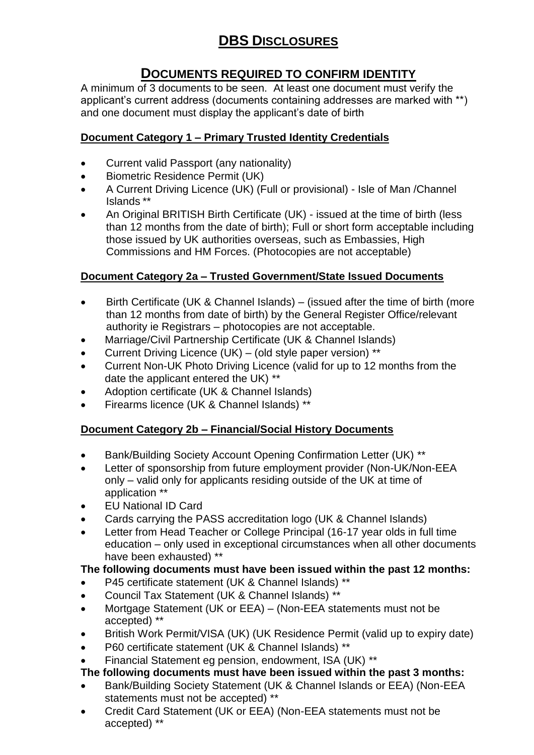# **DBS DISCLOSURES**

## **DOCUMENTS REQUIRED TO CONFIRM IDENTITY**

A minimum of 3 documents to be seen. At least one document must verify the applicant's current address (documents containing addresses are marked with \*\*) and one document must display the applicant's date of birth

#### **Document Category 1 – Primary Trusted Identity Credentials**

- Current valid Passport (any nationality)
- **•** Biometric Residence Permit (UK)
- A Current Driving Licence (UK) (Full or provisional) Isle of Man /Channel Islands \*\*
- An Original BRITISH Birth Certificate (UK) issued at the time of birth (less than 12 months from the date of birth); Full or short form acceptable including those issued by UK authorities overseas, such as Embassies, High Commissions and HM Forces. (Photocopies are not acceptable)

#### **Document Category 2a – Trusted Government/State Issued Documents**

- Birth Certificate (UK & Channel Islands) (issued after the time of birth (more than 12 months from date of birth) by the General Register Office/relevant authority ie Registrars – photocopies are not acceptable.
- Marriage/Civil Partnership Certificate (UK & Channel Islands)
- Current Driving Licence (UK) (old style paper version) \*\*
- Current Non-UK Photo Driving Licence (valid for up to 12 months from the date the applicant entered the UK) \*\*
- Adoption certificate (UK & Channel Islands)
- Firearms licence (UK & Channel Islands) \*\*

### **Document Category 2b – Financial/Social History Documents**

- Bank/Building Society Account Opening Confirmation Letter (UK) \*\*
- Letter of sponsorship from future employment provider (Non-UK/Non-EEA only – valid only for applicants residing outside of the UK at time of application \*\*
- EU National ID Card
- Cards carrying the PASS accreditation logo (UK & Channel Islands)
- Letter from Head Teacher or College Principal (16-17 year olds in full time education – only used in exceptional circumstances when all other documents have been exhausted) \*\*

### **The following documents must have been issued within the past 12 months:**

- P45 certificate statement (UK & Channel Islands) \*\*
- Council Tax Statement (UK & Channel Islands) \*\*
- Mortgage Statement (UK or EEA) (Non-EEA statements must not be accepted) \*\*
- British Work Permit/VISA (UK) (UK Residence Permit (valid up to expiry date)
- P60 certificate statement (UK & Channel Islands) \*\*
- Financial Statement eg pension, endowment, ISA (UK) \*\*

### **The following documents must have been issued within the past 3 months:**

- Bank/Building Society Statement (UK & Channel Islands or EEA) (Non-EEA statements must not be accepted) \*\*
- Credit Card Statement (UK or EEA) (Non-EEA statements must not be accepted) \*\*